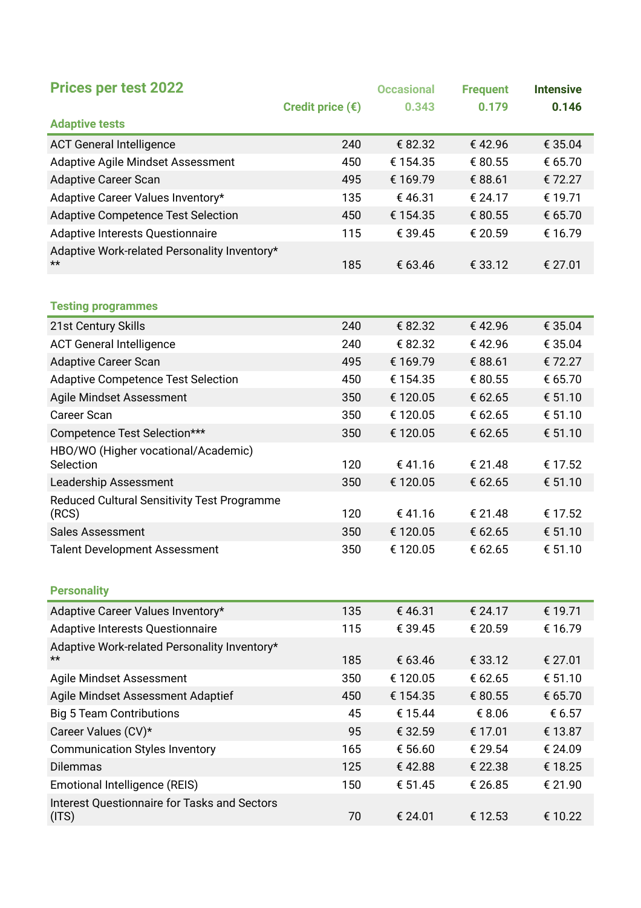| <b>Prices per test 2022</b>                                                      |                           | <b>Occasional</b> | <b>Frequent</b>    | <b>Intensive</b>   |
|----------------------------------------------------------------------------------|---------------------------|-------------------|--------------------|--------------------|
|                                                                                  | Credit price $(\epsilon)$ | 0.343             | 0.179              | 0.146              |
| <b>Adaptive tests</b>                                                            |                           |                   |                    |                    |
| <b>ACT General Intelligence</b>                                                  | 240                       | € 82.32           | €42.96             | € 35.04            |
| <b>Adaptive Agile Mindset Assessment</b>                                         | 450                       | € 154.35          | € 80.55            | € 65.70            |
| <b>Adaptive Career Scan</b>                                                      | 495                       | € 169.79          | € 88.61            | € 72.27            |
| Adaptive Career Values Inventory*                                                | 135                       | €46.31            | € 24.17            | € 19.71            |
| <b>Adaptive Competence Test Selection</b>                                        | 450                       | € 154.35          | € 80.55            | € 65.70            |
| Adaptive Interests Questionnaire                                                 | 115                       | € 39.45           | € 20.59            | € 16.79            |
| Adaptive Work-related Personality Inventory*                                     |                           |                   |                    |                    |
| $\star\star$                                                                     | 185                       | € 63.46           | € 33.12            | € 27.01            |
|                                                                                  |                           |                   |                    |                    |
| <b>Testing programmes</b>                                                        |                           |                   |                    |                    |
| 21st Century Skills                                                              | 240                       | € 82.32           | €42.96             | € 35.04            |
| <b>ACT General Intelligence</b>                                                  | 240                       | € 82.32           | €42.96             | € 35.04            |
| <b>Adaptive Career Scan</b>                                                      | 495                       | € 169.79          | € 88.61            | € 72.27            |
| <b>Adaptive Competence Test Selection</b>                                        | 450                       | € 154.35          | € 80.55            | € 65.70            |
| Agile Mindset Assessment                                                         | 350                       | € 120.05          | € 62.65            | € 51.10            |
| <b>Career Scan</b>                                                               | 350                       | € 120.05          | € 62.65            | € 51.10            |
| Competence Test Selection***                                                     | 350                       | € 120.05          | € 62.65            | € 51.10            |
| HBO/WO (Higher vocational/Academic)<br>Selection                                 | 120                       | €41.16            | € 21.48            | € 17.52            |
| Leadership Assessment                                                            | 350                       | € 120.05          | € 62.65            | € 51.10            |
| Reduced Cultural Sensitivity Test Programme<br>(RCS)                             | 120                       | €41.16            | € 21.48            | € 17.52            |
| <b>Sales Assessment</b>                                                          | 350                       | € 120.05          | € 62.65            | € 51.10            |
| <b>Talent Development Assessment</b>                                             | 350                       | € 120.05          | € 62.65            | € 51.10            |
|                                                                                  |                           |                   |                    |                    |
|                                                                                  |                           |                   |                    |                    |
| <b>Personality</b>                                                               |                           |                   |                    |                    |
| Adaptive Career Values Inventory*                                                | 135<br>115                | €46.31<br>€ 39.45 | € 24.17<br>€ 20.59 | € 19.71<br>€ 16.79 |
| Adaptive Interests Questionnaire<br>Adaptive Work-related Personality Inventory* |                           |                   |                    |                    |
| $\star\star$                                                                     | 185                       | € 63.46           | € 33.12            | € 27.01            |
| Agile Mindset Assessment                                                         | 350                       | € 120.05          | € 62.65            | € 51.10            |
| Agile Mindset Assessment Adaptief                                                | 450                       | € 154.35          | € 80.55            | € 65.70            |
| <b>Big 5 Team Contributions</b>                                                  | 45                        | € 15.44           | € 8.06             | € 6.57             |
| Career Values (CV)*                                                              | 95                        | € 32.59           | € 17.01            | € 13.87            |
| <b>Communication Styles Inventory</b>                                            | 165                       | € 56.60           | € 29.54            | € 24.09            |
| <b>Dilemmas</b>                                                                  | 125                       | €42.88            | € 22.38            | € 18.25            |
| Emotional Intelligence (REIS)                                                    | 150                       | € 51.45           | € 26.85            | € 21.90            |
| <b>Interest Questionnaire for Tasks and Sectors</b><br>(ITS)                     | 70                        | € 24.01           | € 12.53            | € 10.22            |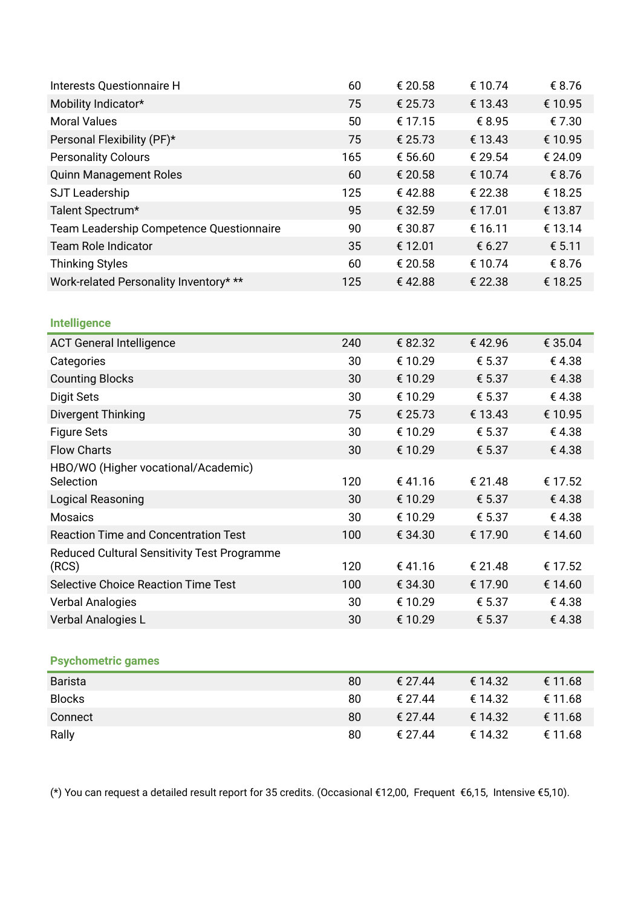| Interests Questionnaire H                        | 60  | € 20.58 | € 10.74 | € 8.76  |
|--------------------------------------------------|-----|---------|---------|---------|
| Mobility Indicator*                              | 75  | € 25.73 | € 13.43 | € 10.95 |
| <b>Moral Values</b>                              | 50  | € 17.15 | € 8.95  | €7.30   |
| Personal Flexibility (PF)*                       | 75  | € 25.73 | € 13.43 | € 10.95 |
| <b>Personality Colours</b>                       | 165 | € 56.60 | € 29.54 | € 24.09 |
| <b>Quinn Management Roles</b>                    | 60  | € 20.58 | € 10.74 | € 8.76  |
| SJT Leadership                                   | 125 | €42.88  | € 22.38 | € 18.25 |
| Talent Spectrum*                                 | 95  | € 32.59 | € 17.01 | € 13.87 |
| Team Leadership Competence Questionnaire         | 90  | € 30.87 | € 16.11 | € 13.14 |
| <b>Team Role Indicator</b>                       | 35  | € 12.01 | € 6.27  | € 5.11  |
| <b>Thinking Styles</b>                           | 60  | € 20.58 | € 10.74 | € 8.76  |
| Work-related Personality Inventory* **           | 125 | €42.88  | € 22.38 | € 18.25 |
|                                                  |     |         |         |         |
| <b>Intelligence</b>                              |     |         |         |         |
| <b>ACT General Intelligence</b>                  | 240 | € 82.32 | €42.96  | € 35.04 |
| Categories                                       | 30  | € 10.29 | € 5.37  | €4.38   |
| <b>Counting Blocks</b>                           | 30  | € 10.29 | € 5.37  | €4.38   |
| <b>Digit Sets</b>                                | 30  | € 10.29 | € 5.37  | €4.38   |
| Divergent Thinking                               | 75  | € 25.73 | € 13.43 | € 10.95 |
| <b>Figure Sets</b>                               | 30  | € 10.29 | € 5.37  | €4.38   |
| <b>Flow Charts</b>                               | 30  | € 10.29 | € 5.37  | €4.38   |
| HBO/WO (Higher vocational/Academic)<br>Selection | 120 | €41.16  | € 21.48 | € 17.52 |
| Logical Reasoning                                | 30  | € 10.29 | € 5.37  | €4.38   |
| <b>Mosaics</b>                                   | 30  | € 10.29 | € 5.37  | €4.38   |
| <b>Reaction Time and Concentration Test</b>      | 100 | € 34.30 | € 17.90 | € 14.60 |
| Reduced Cultural Sensitivity Test Programme      |     |         |         |         |
| (RCS)                                            | 120 | €41.16  | € 21.48 | € 17.52 |
| Selective Choice Reaction Time Test              | 100 | € 34.30 | € 17.90 | € 14.60 |
| <b>Verbal Analogies</b>                          | 30  | € 10.29 | € 5.37  | €4.38   |
| Verbal Analogies L                               | 30  | € 10.29 | € 5.37  | €4.38   |
|                                                  |     |         |         |         |
| <b>Psychometric games</b>                        |     |         |         |         |
| <b>Barista</b>                                   | 80  | € 27.44 | € 14.32 | € 11.68 |
| <b>Blocks</b>                                    | 80  | € 27.44 | € 14.32 | € 11.68 |
| Connect                                          | 80  | € 27.44 | € 14.32 | € 11.68 |
| Rally                                            | 80  | € 27.44 | € 14.32 | € 11.68 |

(\*) You can request a detailed result report for 35 credits. (Occasional €12,00, Frequent €6,15, Intensive €5,10).